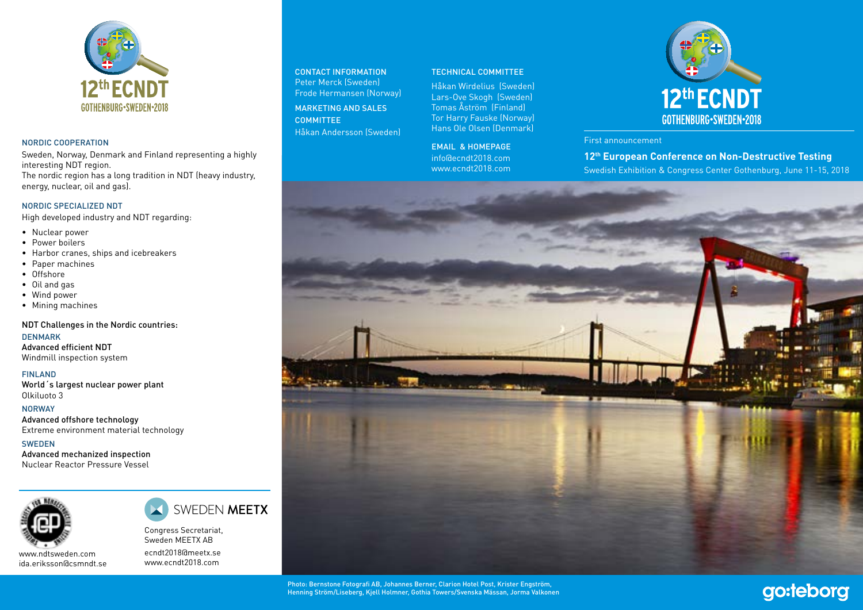

#### NORDIC COOPERATION

Sweden, Norway, Denmark and Finland representing a highly interesting NDT region.

The nordic region has a long tradition in NDT (heavy industry, energy, nuclear, oil and gas).

### NORDIC SPECIALIZED NDT

High developed industry and NDT regarding:

- Nuclear power
- Power boilers
- Harbor cranes, ships and icebreakers
- Paper machines
- Offshore
- Oil and gas
- Wind power
- Mining machines

NDT Challenges in the Nordic countries:

DENMARK Advanced efficient NDT Windmill inspection system

FINLAND World´s largest nuclear power plant Olkiluoto 3

NORWAY Advanced offshore technology Extreme environment material technology

> Congress Secretariat, Sweden MEETX AB ecndt2018@meetx.se www.ecndt2018.com

SWEDEN MEETX

SWEDEN Advanced mechanized inspection Nuclear Reactor Pressure Vessel



www.ndtsweden.com ida.eriksson@csmndt.se

CONTACT INFORMATION Peter Merck (Sweden) Frode Hermansen (Norway) MARKETING AND SALES COMMITTEE Håkan Andersson (Sweden)

#### TECHNICAL COMMITTEE

Håkan Wirdelius (Sweden) Lars-Ove Skogh (Sweden) Tomas Åström (Finland) Tor Harry Fauske (Norway) Hans Ole Olsen (Denmark)

EMAIL & HOMEPAGE info@ecndt2018.com www.ecndt2018.com



First announcement

**12th European Conference on Non-Destructive Testing** Swedish Exhibition & Congress Center Gothenburg, June 11-15, 2018

go:teborg



Photo: Bernstone Fotografi AB, Johannes Berner, Clarion Hotel Post, Krister Engström, Henning Ström/Liseberg, Kjell Holmner, Gothia Towers/Svenska Mässan, Jorma Valkonen